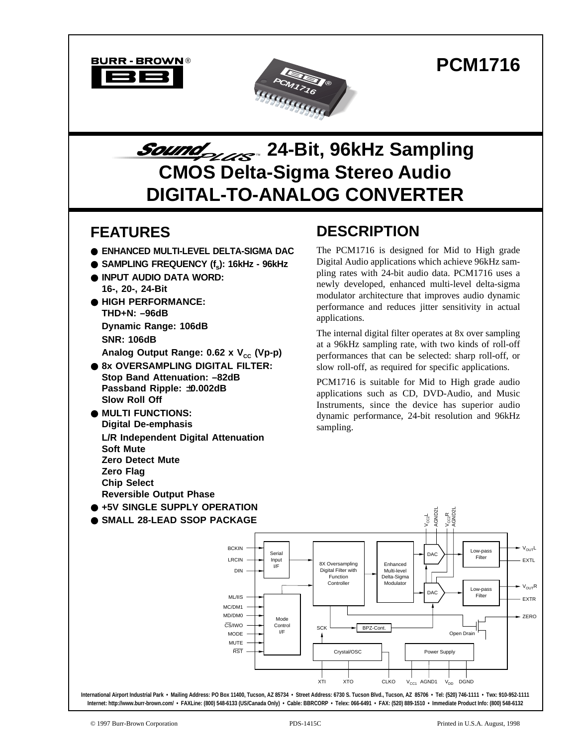



# Sound 1984-Bit, 96kHz Sampling **CMOS Delta-Sigma Stereo Audio DIGITAL-TO-ANALOG CONVERTER**

### **FEATURES**

- **ENHANCED MULTI-LEVEL DELTA-SIGMA DAC**
- SAMPLING FREQUENCY (f<sub>s</sub>): 16kHz 96kHz
- **INPUT AUDIO DATA WORD: 16-, 20-, 24-Bit**
- **HIGH PERFORMANCE: THD+N: –96dB Dynamic Range: 106dB SNR: 106dB** Analog Output Range: 0.62 x V<sub>cc</sub> (Vp-p)
- **8x OVERSAMPLING DIGITAL FILTER: Stop Band Attenuation: –82dB Passband Ripple:** ±**0.002dB Slow Roll Off**
- **MULTI FUNCTIONS: Digital De-emphasis L/R Independent Digital Attenuation Soft Mute Zero Detect Mute Zero Flag Chip Select Reversible Output Phase**
- **+5V SINGLE SUPPLY OPERATION**
- **SMALL 28-LEAD SSOP PACKAGE**

## **DESCRIPTION**

The PCM1716 is designed for Mid to High grade Digital Audio applications which achieve 96kHz sampling rates with 24-bit audio data. PCM1716 uses a newly developed, enhanced multi-level delta-sigma modulator architecture that improves audio dynamic performance and reduces jitter sensitivity in actual applications.

The internal digital filter operates at 8x over sampling at a 96kHz sampling rate, with two kinds of roll-off performances that can be selected: sharp roll-off, or slow roll-off, as required for specific applications.

PCM1716 is suitable for Mid to High grade audio applications such as CD, DVD-Audio, and Music Instruments, since the device has superior audio dynamic performance, 24-bit resolution and 96kHz sampling.

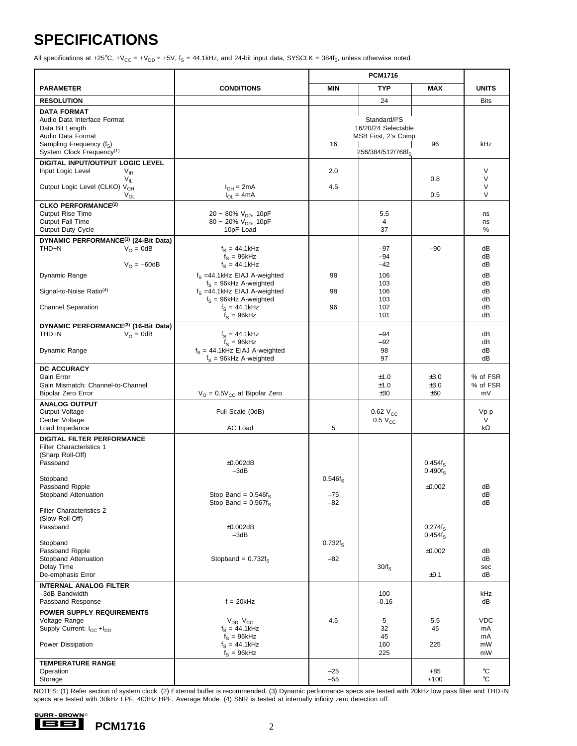## **SPECIFICATIONS**

All specifications at +25°C, +V<sub>CC</sub> = +V<sub>DD</sub> = +5V,  $f_S$  = 44.1kHz, and 24-bit input data, SYSCLK = 384f<sub>S</sub>, unless otherwise noted.

|                                                                                                                                                               |                                                                                                  | <b>PCM1716</b>                  |                                                                                              |                                    |                              |
|---------------------------------------------------------------------------------------------------------------------------------------------------------------|--------------------------------------------------------------------------------------------------|---------------------------------|----------------------------------------------------------------------------------------------|------------------------------------|------------------------------|
| <b>PARAMETER</b>                                                                                                                                              | <b>CONDITIONS</b>                                                                                | <b>TYP</b><br><b>MIN</b><br>MAX |                                                                                              | <b>UNITS</b>                       |                              |
| <b>RESOLUTION</b>                                                                                                                                             |                                                                                                  |                                 | 24                                                                                           |                                    | <b>Bits</b>                  |
| <b>DATA FORMAT</b><br>Audio Data Interface Format<br>Data Bit Length<br>Audio Data Format<br>Sampling Frequency (fs)<br>System Clock Frequency <sup>(1)</sup> |                                                                                                  | 16                              | Standard/I <sup>2</sup> S<br>16/20/24 Selectable<br>MSB First, 2's Comp<br>256/384/512/768fs | 96                                 | kHz                          |
| DIGITAL INPUT/OUTPUT LOGIC LEVEL                                                                                                                              |                                                                                                  |                                 |                                                                                              |                                    |                              |
| Input Logic Level<br>$V_{\text{IH}}$<br>$V_{IL}$<br>Output Logic Level (CLKO) V <sub>OH</sub><br>$V_{OL}$                                                     | $I_{OH} = 2mA$<br>$I_{OL} = 4mA$                                                                 | 2.0<br>4.5                      |                                                                                              | 0.8<br>0.5                         | V<br>$\vee$<br>$\vee$<br>V   |
| <b>CLKO PERFORMANCE(2)</b><br>Output Rise Time<br>Output Fall Time<br>Output Duty Cycle                                                                       | 20 ~ 80% $V_{DD}$ , 10pF<br>80 ~ 20% $V_{DD}$ , 10pF<br>10pF Load                                |                                 | 5.5<br>4<br>37                                                                               |                                    | ns<br>ns<br>℅                |
| DYNAMIC PERFORMANCE <sup>(3)</sup> (24-Bit Data)<br>THD+N<br>$V_{\Omega} = 0dB$<br>$V_0 = -60dB$                                                              | $f_S = 44.1$ kHz<br>$f_s = 96kHz$<br>$f_s = 44.1$ kHz                                            |                                 | $-97$<br>$-94$<br>$-42$                                                                      | $-90$                              | dB<br>dB<br>dB               |
| Dynamic Range<br>Signal-to-Noise Ratio <sup>(4)</sup>                                                                                                         | $f_S = 44.1$ kHz EIAJ A-weighted<br>$f_S = 96kHz$ A-weighted<br>$f_S = 44.1$ kHz EIAJ A-weighted | 98<br>98                        | 106<br>103<br>106                                                                            |                                    | dB<br>dB<br>dB               |
| <b>Channel Separation</b>                                                                                                                                     | $f_S = 96kHz$ A-weighted<br>$f_S = 44.1$ kHz<br>$f_S = 96k$ Hz                                   | 96                              | 103<br>102<br>101                                                                            |                                    | dB<br>dB<br>dB               |
| DYNAMIC PERFORMANCE <sup>(3)</sup> (16-Bit Data)<br>THD+N<br>$V_{\Omega} = 0dB$                                                                               | $f_S = 44.1$ kHz                                                                                 |                                 | $-94$                                                                                        |                                    | dB                           |
| Dynamic Range                                                                                                                                                 | $f_S = 96k$ Hz<br>$f_S = 44.1$ kHz EIAJ A-weighted<br>$f_S = 96kHz$ A-weighted                   |                                 | $-92$<br>98<br>97                                                                            |                                    | dB<br>dB<br>dB               |
| DC ACCURACY<br>Gain Error<br>Gain Mismatch: Channel-to-Channel<br>Bipolar Zero Error                                                                          | $V_{O} = 0.5V_{CC}$ at Bipolar Zero                                                              |                                 | ±1.0<br>±1.0<br>±30                                                                          | ±3.0<br>±3.0<br>±60                | % of FSR<br>% of FSR<br>mV   |
| <b>ANALOG OUTPUT</b><br>Output Voltage<br>Center Voltage<br>Load Impedance                                                                                    | Full Scale (0dB)<br>AC Load                                                                      | 5                               | $0.62$ $V_{CC}$<br>$0.5 V_{CC}$                                                              |                                    | Vp-p<br>V<br>kΩ              |
| <b>DIGITAL FILTER PERFORMANCE</b><br>Filter Characteristics 1<br>(Sharp Roll-Off)<br>Passband<br>Stopband<br>Passband Ripple<br>Stopband Attenuation          | ±0.002dB<br>$-3dB$<br>Stop Band = $0.546f_S$                                                     | $0.546f_S$<br>$-75$             |                                                                                              | $0.454f_S$<br>$0.490f_S$<br>±0.002 | dB<br>dB                     |
| <b>Filter Characteristics 2</b><br>(Slow Roll-Off)<br>Passband                                                                                                | Stop Band = $0.567f_s$<br>±0.002dB<br>$-3dB$                                                     | $-82$                           |                                                                                              | $0.274f_S$<br>$0.454f_S$           | dB                           |
| Stopband<br>Passband Ripple<br>Stopband Attenuation<br>Delay Time<br>De-emphasis Error                                                                        | Stopband = $0.732f_S$                                                                            | $0.732f_S$<br>$-82$             | $30/f_S$                                                                                     | $\pm 0.002$<br>±0.1                | dB<br>dB<br>sec<br>dB        |
| <b>INTERNAL ANALOG FILTER</b><br>-3dB Bandwidth<br>Passband Response                                                                                          | $f = 20kHz$                                                                                      |                                 | 100<br>$-0.16$                                                                               |                                    | kHz<br>dB                    |
| <b>POWER SUPPLY REQUIREMENTS</b><br>Voltage Range<br>Supply Current: I <sub>CC</sub> +I <sub>DD</sub><br>Power Dissipation                                    | $V_{DD}$ , $V_{CC}$<br>$f_S = 44.1$ kHz<br>$f_S = 96k$ Hz<br>$f_S = 44.1$ kHz<br>$f_S = 96k$ Hz  | 4.5                             | 5<br>32<br>45<br>160<br>225                                                                  | 5.5<br>45<br>225                   | VDC.<br>mA<br>mA<br>mW<br>mW |
| <b>TEMPERATURE RANGE</b><br>Operation<br>Storage                                                                                                              |                                                                                                  | $-25$<br>$-55$                  |                                                                                              | $+85$<br>$+100$                    | $^{\circ}$ C<br>°C           |

NOTES: (1) Refer section of system clock. (2) External buffer is recommended. (3) Dynamic performance specs are tested with 20kHz low pass filter and THD+N specs are tested with 30kHz LPF, 400Hz HPF, Average Mode. (4) SNR is tested at internally infinity zero detection off.

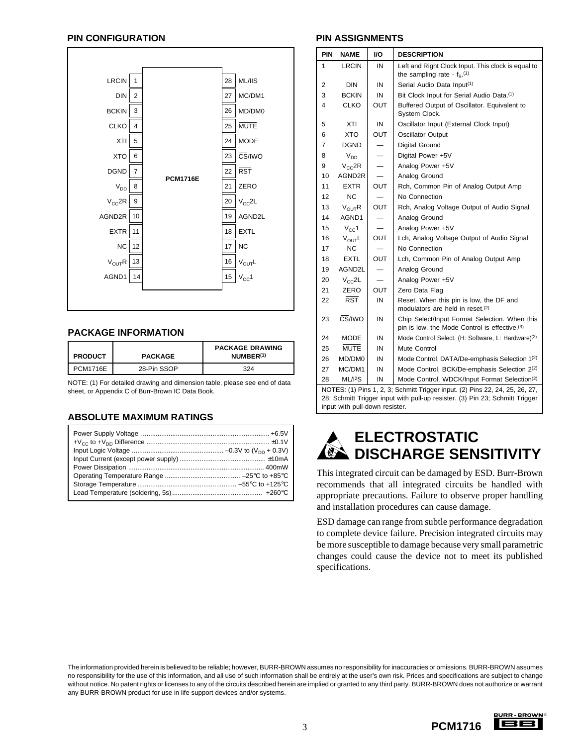#### **PIN CONFIGURATION PIN ASSIGNMENTS**



#### **PACKAGE INFORMATION**

| <b>PRODUCT</b>  | <b>PACKAGE</b> | <b>PACKAGE DRAWING</b><br>NUMBER <sup>(1)</sup> |  |
|-----------------|----------------|-------------------------------------------------|--|
| <b>PCM1716E</b> | 28-Pin SSOP    | 324                                             |  |

NOTE: (1) For detailed drawing and dimension table, please see end of data sheet, or Appendix C of Burr-Brown IC Data Book.

#### **ABSOLUTE MAXIMUM RATINGS**

| PIN | <b>NAME</b>                                                                                                                                                  | I/O                      | <b>DESCRIPTION</b>                                                                                         |  |
|-----|--------------------------------------------------------------------------------------------------------------------------------------------------------------|--------------------------|------------------------------------------------------------------------------------------------------------|--|
| 1   | <b>LRCIN</b>                                                                                                                                                 | IN                       | Left and Right Clock Input. This clock is equal to<br>the sampling rate - $f_s$ . (1)                      |  |
| 2   | DIN                                                                                                                                                          | IN                       | Serial Audio Data Input <sup>(1)</sup>                                                                     |  |
| 3   | <b>BCKIN</b>                                                                                                                                                 | IN                       | Bit Clock Input for Serial Audio Data. <sup>(1)</sup>                                                      |  |
| 4   | <b>CLKO</b>                                                                                                                                                  | <b>OUT</b>               | Buffered Output of Oscillator. Equivalent to<br>System Clock.                                              |  |
| 5   | XTI                                                                                                                                                          | IN                       | Oscillator Input (External Clock Input)                                                                    |  |
| 6   | <b>XTO</b>                                                                                                                                                   | OUT                      | <b>Oscillator Output</b>                                                                                   |  |
| 7   | DGND                                                                                                                                                         |                          | Digital Ground                                                                                             |  |
| 8   | $V_{DD}$                                                                                                                                                     |                          | Digital Power +5V                                                                                          |  |
| 9   | $V_{CC}$ 2R                                                                                                                                                  | $\overline{\phantom{0}}$ | Analog Power +5V                                                                                           |  |
| 10  | AGND2R                                                                                                                                                       |                          | Analog Ground                                                                                              |  |
| 11  | <b>EXTR</b>                                                                                                                                                  | <b>OUT</b>               | Rch, Common Pin of Analog Output Amp                                                                       |  |
| 12  | <b>NC</b>                                                                                                                                                    |                          | No Connection                                                                                              |  |
| 13  | $V_{\text{OUT}}R$                                                                                                                                            | OUT                      | Rch, Analog Voltage Output of Audio Signal                                                                 |  |
| 14  | AGND1                                                                                                                                                        |                          | Analog Ground                                                                                              |  |
| 15  | $V_{\rm CC}$ 1                                                                                                                                               |                          | Analog Power +5V                                                                                           |  |
| 16  | $V_{\text{OUT}}L$                                                                                                                                            | <b>OUT</b>               | Lch, Analog Voltage Output of Audio Signal                                                                 |  |
| 17  | <b>NC</b>                                                                                                                                                    |                          | No Connection                                                                                              |  |
| 18  | <b>EXTL</b>                                                                                                                                                  | <b>OUT</b>               | Lch, Common Pin of Analog Output Amp                                                                       |  |
| 19  | AGND2L                                                                                                                                                       |                          | Analog Ground                                                                                              |  |
| 20  | $V_{C}C2L$                                                                                                                                                   |                          | Analog Power +5V                                                                                           |  |
| 21  | ZERO                                                                                                                                                         | OUT                      | Zero Data Flag                                                                                             |  |
| 22  | $\overline{\text{RST}}$                                                                                                                                      | IN                       | Reset. When this pin is low, the DF and<br>modulators are held in reset. <sup>(2)</sup>                    |  |
| 23  | $\overline{\text{CS}}$ /IWO                                                                                                                                  | IN                       | Chip Select/Input Format Selection. When this<br>pin is low, the Mode Control is effective. <sup>(3)</sup> |  |
| 24  | MODE                                                                                                                                                         | IN                       | Mode Control Select. (H: Software, L: Hardware)(2)                                                         |  |
| 25  | <b>MUTE</b>                                                                                                                                                  | IN                       | Mute Control                                                                                               |  |
| 26  | MD/DM0                                                                                                                                                       | IN                       | Mode Control, DATA/De-emphasis Selection 1 <sup>(2)</sup>                                                  |  |
| 27  | MC/DM1                                                                                                                                                       | IN                       | Mode Control, BCK/De-emphasis Selection 2(2)                                                               |  |
| 28  | ML/12S                                                                                                                                                       | IN                       | Mode Control, WDCK/Input Format Selection(2)                                                               |  |
|     | NOTES: (1) Pins 1, 2, 3; Schmitt Trigger input. (2) Pins 22, 24, 25, 26, 27,<br>28; Schmitt Trigger input with pull-up resister. (3) Pin 23; Schmitt Trigger |                          |                                                                                                            |  |

**ELECTROSTATIC** O. **DISCHARGE SENSITIVITY**

input with pull-down resister.

This integrated circuit can be damaged by ESD. Burr-Brown recommends that all integrated circuits be handled with appropriate precautions. Failure to observe proper handling and installation procedures can cause damage.

ESD damage can range from subtle performance degradation to complete device failure. Precision integrated circuits may be more susceptible to damage because very small parametric changes could cause the device not to meet its published specifications.

The information provided herein is believed to be reliable; however, BURR-BROWN assumes no responsibility for inaccuracies or omissions. BURR-BROWN assumes no responsibility for the use of this information, and all use of such information shall be entirely at the user's own risk. Prices and specifications are subject to change without notice. No patent rights or licenses to any of the circuits described herein are implied or granted to any third party. BURR-BROWN does not authorize or warrant any BURR-BROWN product for use in life support devices and/or systems.

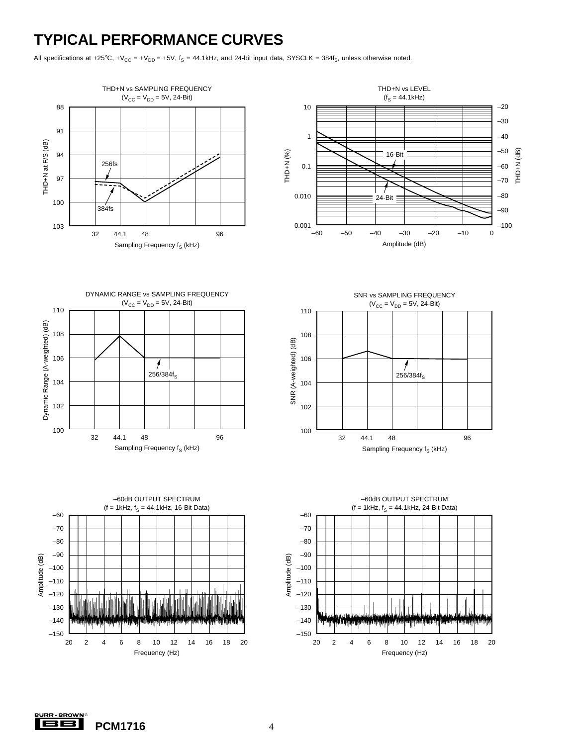### **TYPICAL PERFORMANCE CURVES**

All specifications at +25°C, +V<sub>CC</sub> = +V<sub>DD</sub> = +5V,  $f_S$  = 44.1kHz, and 24-bit input data, SYSCLK = 384f<sub>S</sub>, unless otherwise noted.





DYNAMIC RANGE vs SAMPLING FREQUENCY  $(V_{CC} = V_{DD} = 5V, 24-Bit)$ 









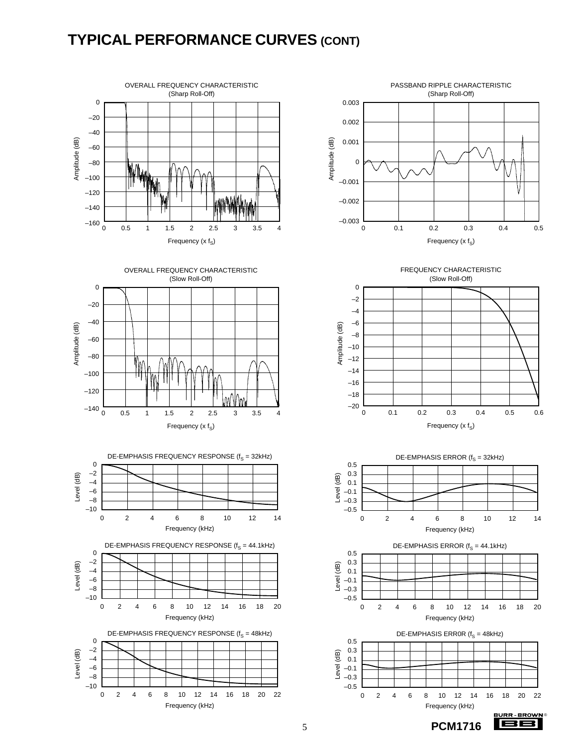### **TYPICAL PERFORMANCE CURVES (CONT)**



















**BB** 

3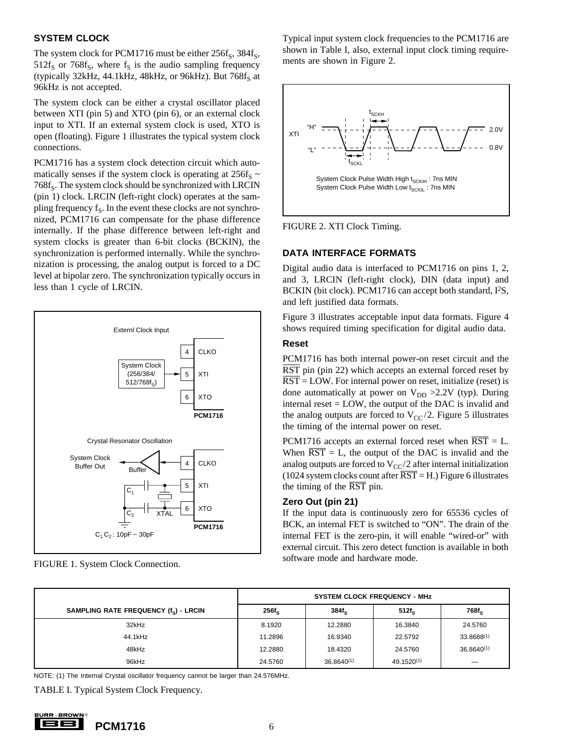#### **SYSTEM CLOCK**

The system clock for PCM1716 must be either  $256f_s$ ,  $384f_s$ ,  $512f_S$  or  $768f_S$ , where  $f_S$  is the audio sampling frequency (typically 32kHz, 44.1kHz, 48kHz, or 96kHz). But  $768f_S$  at 96kHz is not accepted.

The system clock can be either a crystal oscillator placed between XTI (pin 5) and XTO (pin 6), or an external clock input to XTI. If an external system clock is used, XTO is open (floating). Figure 1 illustrates the typical system clock connections.

PCM1716 has a system clock detection circuit which automatically senses if the system clock is operating at  $256f_S \sim$  $768f_S$ . The system clock should be synchronized with LRCIN (pin 1) clock. LRCIN (left-right clock) operates at the sampling frequency  $f_s$ . In the event these clocks are not synchronized, PCM1716 can compensate for the phase difference internally. If the phase difference between left-right and system clocks is greater than 6-bit clocks (BCKIN), the synchronization is performed internally. While the synchronization is processing, the analog output is forced to a DC level at bipolar zero. The synchronization typically occurs in less than 1 cycle of LRCIN.



FIGURE 1. System Clock Connection.

Typical input system clock frequencies to the PCM1716 are shown in Table I, also, external input clock timing requirements are shown in Figure 2.



FIGURE 2. XTI Clock Timing.

### **DATA INTERFACE FORMATS**

Digital audio data is interfaced to PCM1716 on pins 1, 2, and 3, LRCIN (left-right clock), DIN (data input) and BCKIN (bit clock). PCM1716 can accept both standard, I<sup>2</sup>S, and left justified data formats.

Figure 3 illustrates acceptable input data formats. Figure 4 shows required timing specification for digital audio data.

#### **Reset**

PCM1716 has both internal power-on reset circuit and the RST pin (pin 22) which accepts an external forced reset by  $\overline{RST}$  = LOW. For internal power on reset, initialize (reset) is done automatically at power on  $V_{DD} > 2.2V$  (typ). During internal reset = LOW, the output of the DAC is invalid and the analog outputs are forced to  $V_{CC}/2$ . Figure 5 illustrates the timing of the internal power on reset.

PCM1716 accepts an external forced reset when  $\overline{RST} = L$ . When  $\overline{RST} = L$ , the output of the DAC is invalid and the analog outputs are forced to  $V_{CC}/2$  after internal initialization (1024 system clocks count after  $\overline{RST}$  = H.) Figure 6 illustrates the timing of the  $\overline{RST}$  pin.

#### **Zero Out (pin 21)**

If the input data is continuously zero for 65536 cycles of BCK, an internal FET is switched to "ON". The drain of the internal FET is the zero-pin, it will enable "wired-or" with external circuit. This zero detect function is available in both software mode and hardware mode.

|                                                   | <b>SYSTEM CLOCK FREQUENCY - MHz</b> |                 |                        |                 |
|---------------------------------------------------|-------------------------------------|-----------------|------------------------|-----------------|
| SAMPLING RATE FREQUENCY (f <sub>S</sub> ) - LRCIN | $256f_S$                            | $384f_s$        | $512f_s$               | $768f_S$        |
| 32kHz                                             | 8.1920                              | 12.2880         | 16.3840                | 24.5760         |
| 44.1kHz                                           | 11.2896                             | 16.9340         | 22.5792                | 33.8688(1)      |
| 48kHz                                             | 12.2880                             | 18.4320         | 24.5760                | $36.8640^{(1)}$ |
| 96kHz                                             | 24.5760                             | $36.8640^{(1)}$ | 49.1520 <sup>(1)</sup> | __              |

NOTE: (1) The Internal Crystal oscillator frequency cannot be larger than 24.576MHz.

TABLE I. Typical System Clock Frequency.

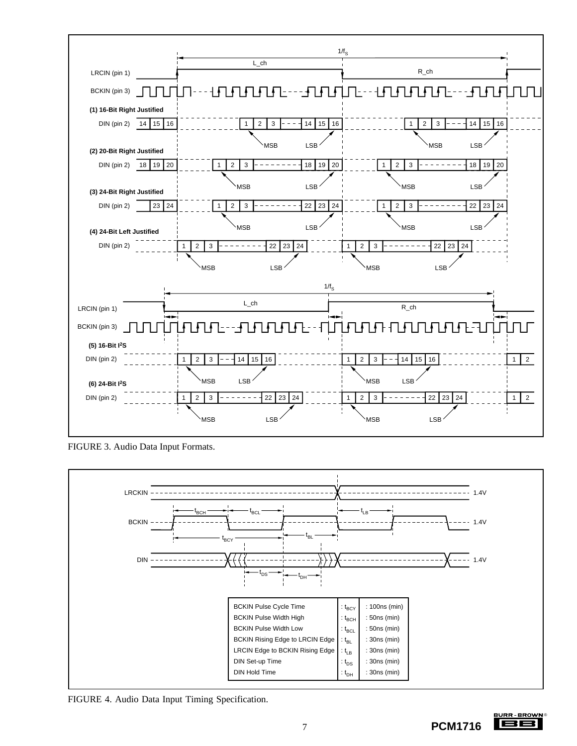

FIGURE 3. Audio Data Input Formats.



FIGURE 4. Audio Data Input Timing Specification.

<u>BURR BROWN</u> 188 7 **PCM1716**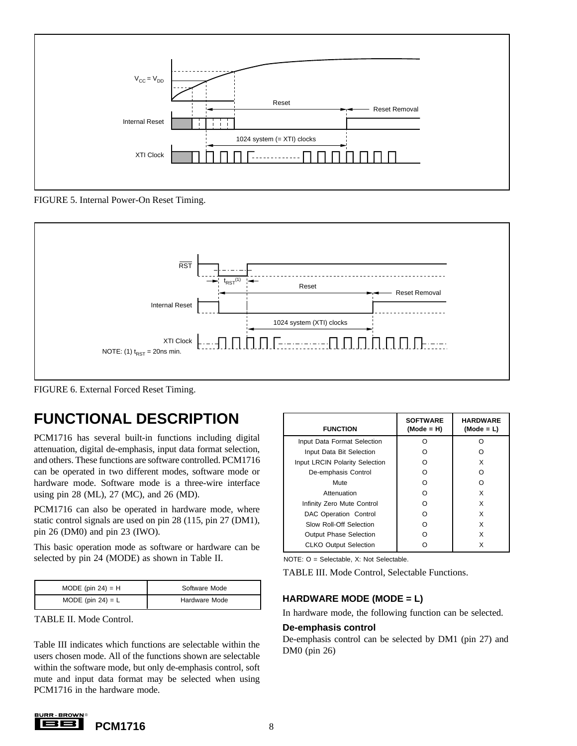

FIGURE 5. Internal Power-On Reset Timing.



FIGURE 6. External Forced Reset Timing.

### **FUNCTIONAL DESCRIPTION**

PCM1716 has several built-in functions including digital attenuation, digital de-emphasis, input data format selection, and others. These functions are software controlled. PCM1716 can be operated in two different modes, software mode or hardware mode. Software mode is a three-wire interface using pin 28 (ML), 27 (MC), and 26 (MD).

PCM1716 can also be operated in hardware mode, where static control signals are used on pin 28 (115, pin 27 (DM1), pin 26 (DM0) and pin 23 (IWO).

This basic operation mode as software or hardware can be selected by pin 24 (MODE) as shown in Table II.

| MODE (pin $24$ ) = H | Software Mode |
|----------------------|---------------|
| MODE (pin $24$ ) = L | Hardware Mode |

TABLE II. Mode Control.

Table III indicates which functions are selectable within the users chosen mode. All of the functions shown are selectable within the software mode, but only de-emphasis control, soft mute and input data format may be selected when using PCM1716 in the hardware mode.

| <b>FUNCTION</b>                | <b>SOFTWARE</b><br>$(Mode = H)$ | <b>HARDWARE</b><br>$(Mode = L)$ |
|--------------------------------|---------------------------------|---------------------------------|
| Input Data Format Selection    | റ                               | ∩                               |
| Input Data Bit Selection       | ( )                             |                                 |
| Input LRCIN Polarity Selection | റ                               | X                               |
| De-emphasis Control            | റ                               | ∩                               |
| Mute                           | ∩                               | ∩                               |
| Attenuation                    | റ                               | x                               |
| Infinity Zero Mute Control     | ∩                               | X                               |
| DAC Operation Control          | റ                               | x                               |
| Slow Roll-Off Selection        | ∩                               | x                               |
| <b>Output Phase Selection</b>  |                                 | x                               |
| <b>CLKO Output Selection</b>   |                                 | x                               |

NOTE: O = Selectable, X: Not Selectable.

TABLE III. Mode Control, Selectable Functions.

#### **HARDWARE MODE (MODE = L)**

In hardware mode, the following function can be selected.

#### **De-emphasis control**

De-emphasis control can be selected by DM1 (pin 27) and DM0 (pin 26)

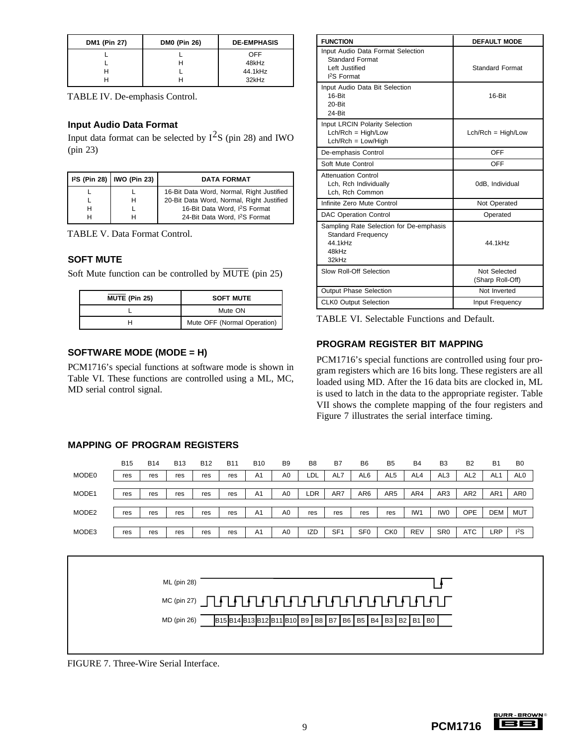| DM1 (Pin 27) | <b>DM0 (Pin 26)</b> | <b>DE-EMPHASIS</b> |
|--------------|---------------------|--------------------|
|              |                     | OFF                |
|              |                     | 48kHz              |
|              |                     | 44.1kHz            |
|              |                     | 32kHz              |

TABLE IV. De-emphasis Control.

#### **Input Audio Data Format**

Input data format can be selected by  $I^2S$  (pin 28) and IWO (pin 23)

|   | 12S (Pin 28)   IWO (Pin 23) | <b>DATA FORMAT</b>                        |
|---|-----------------------------|-------------------------------------------|
|   |                             | 16-Bit Data Word, Normal, Right Justified |
|   | н                           | 20-Bit Data Word, Normal, Right Justified |
| н |                             | 16-Bit Data Word, I <sup>2</sup> S Format |
|   |                             | 24-Bit Data Word, I <sup>2</sup> S Format |

TABLE V. Data Format Control.

#### **SOFT MUTE**

Soft Mute function can be controlled by  $\overline{\text{MUTE}}$  (pin 25)

| MUTE (Pin 25) | <b>SOFT MUTE</b>            |
|---------------|-----------------------------|
|               | Mute ON                     |
|               | Mute OFF (Normal Operation) |

#### **SOFTWARE MODE (MODE = H)**

**MAPPING OF PROGRAM REGISTERS**

PCM1716's special functions at software mode is shown in Table VI. These functions are controlled using a ML, MC, MD serial control signal.

| <b>FUNCTION</b>                                                                                    | <b>DEFAULT MODE</b>              |
|----------------------------------------------------------------------------------------------------|----------------------------------|
| Input Audio Data Format Selection<br><b>Standard Format</b><br>Left Justified<br><b>I2S Format</b> | <b>Standard Format</b>           |
| Input Audio Data Bit Selection<br>16-Bit<br>20-Bit<br>24-Bit                                       | 16-Bit                           |
| Input LRCIN Polarity Selection<br>$Lch/Rch = High/Low$<br>$Lch/Rch = Low/High$                     | $Lch/Rch = High/Low$             |
| De-emphasis Control                                                                                | OFF                              |
| Soft Mute Control                                                                                  | OFF                              |
| <b>Attenuation Control</b><br>Lch, Rch Individually<br>Lch. Rch Common                             | 0dB, Individual                  |
| Infinite Zero Mute Control                                                                         | Not Operated                     |
| <b>DAC Operation Control</b>                                                                       | Operated                         |
| Sampling Rate Selection for De-emphasis<br><b>Standard Frequency</b><br>44 1kHz<br>48kHz<br>32kHz  | 44 1kHz                          |
| Slow Roll-Off Selection                                                                            | Not Selected<br>(Sharp Roll-Off) |
| Output Phase Selection                                                                             | Not Inverted                     |
| <b>CLK0 Output Selection</b>                                                                       | Input Frequency                  |

TABLE VI. Selectable Functions and Default.

### **PROGRAM REGISTER BIT MAPPING**

PCM1716's special functions are controlled using four program registers which are 16 bits long. These registers are all loaded using MD. After the 16 data bits are clocked in, ML is used to latch in the data to the appropriate register. Table VII shows the complete mapping of the four registers and Figure 7 illustrates the serial interface timing.

# MODE0 | res | res | res | res | res | A1 | A0 | LDL | AL7 | AL6 | AL5 | AL4 | AL3 | AL2 | AL1 | AL0 MODE1 | res | res | res | res | res | A1 | A0 | LDR | AR7 | AR6 | AR5 | AR4 | AR3 | AR2 | AR1 | AR0 MODE2 | res | res | res | res | res | A1 | A0 | res | res | res | res | IW1 | IW0 | OPE | DEM | MUT MODE3 | res | res | res | res | res | A1 | A0 | IZD | SF1 | SF0 | CK0 | REV | SR0 | ATC | LRP | I<sup>2</sup>S B15 B14 B13 B12 B11 B10 B9 B8 B7 B6 B5 B4 B3 B2 B1 B0 ML (pin 28)  $MC$  (pin 27)  $\begin{equation} \begin{bmatrix} \text{T} & \text{T} \end{bmatrix} \begin{bmatrix} \text{T} & \text{T} \end{bmatrix} \begin{bmatrix} \text{T} & \text{T} \end{bmatrix} \begin{bmatrix} \text{T} & \text{T} \end{bmatrix} \begin{bmatrix} \text{T} & \text{T} \end{bmatrix} \begin{bmatrix} \text{T} & \text{T} \end{bmatrix} \begin{bmatrix} \text{T} & \text{T} \end{bmatrix} \begin{bmatrix} \text{T} & \text{T} \end{bmatrix} \begin{bmatrix} \text{T} & \text{T} \end{bmatrix} \begin{bmatrix} \text{T} & \$ MD (pin 26)

B15 B14 B13 B12 B11 B10 B9 B8 B7 B6 B5 B4 B3 B2 B1 B0

FIGURE 7. Three-Wire Serial Interface.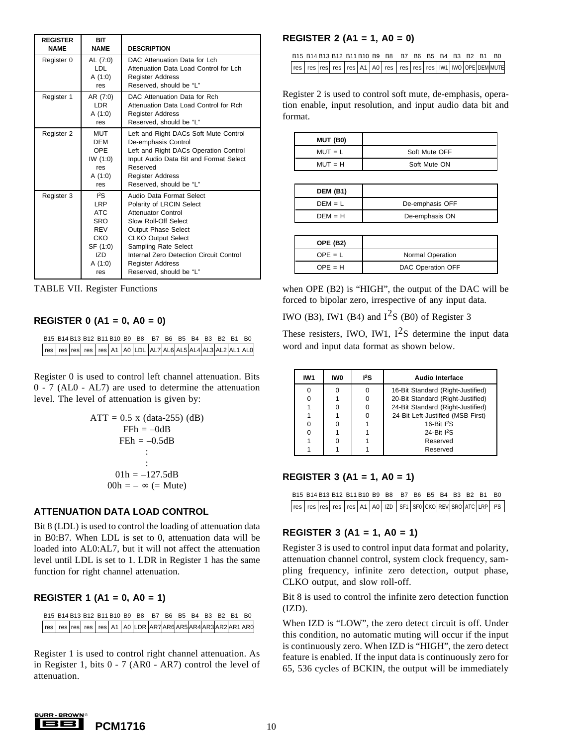| <b>REGISTER</b><br><b>NAME</b> | <b>BIT</b><br><b>NAME</b>                                                                                      | <b>DESCRIPTION</b>                                                                                                                                                                                                                                                                            |
|--------------------------------|----------------------------------------------------------------------------------------------------------------|-----------------------------------------------------------------------------------------------------------------------------------------------------------------------------------------------------------------------------------------------------------------------------------------------|
| Register 0                     | AL (7:0)<br>LDL<br>A (1:0)<br>res                                                                              | DAC Attenuation Data for Lch<br>Attenuation Data Load Control for Lch<br><b>Register Address</b><br>Reserved, should be "L"                                                                                                                                                                   |
| Register 1                     | AR (7:0)<br>I DR<br>A (1:0)<br>res                                                                             | DAC Attenuation Data for Rch<br>Attenuation Data Load Control for Rch<br><b>Register Address</b><br>Reserved, should be "L"                                                                                                                                                                   |
| Register 2                     | <b>MUT</b><br><b>DEM</b><br>OPE<br>IW(1:0)<br>res<br>A (1:0)<br>res                                            | Left and Right DACs Soft Mute Control<br>De-emphasis Control<br>Left and Right DACs Operation Control<br>Input Audio Data Bit and Format Select<br>Reserved<br><b>Register Address</b><br>Reserved, should be "L"                                                                             |
| Register 3                     | 12S<br><b>LRP</b><br><b>ATC</b><br><b>SRO</b><br><b>RFV</b><br>CKO<br>SF (1:0)<br><b>IZD</b><br>A (1:0)<br>res | Audio Data Format Select<br>Polarity of LRCIN Select<br><b>Attenuator Control</b><br>Slow Roll-Off Select<br><b>Output Phase Select</b><br><b>CLKO Output Select</b><br>Sampling Rate Select<br>Internal Zero Detection Circuit Control<br><b>Register Address</b><br>Reserved, should be "L" |

TABLE VII. Register Functions

#### **REGISTER 0 (A1 = 0, A0 = 0)**

|  |  |  | B15 B14 B13 B12 B11 B10 B9 B8 B7 B6 B5 B4 B3 B2 B1 B0         |  |  |  |  |
|--|--|--|---------------------------------------------------------------|--|--|--|--|
|  |  |  | res res res res res A1 A0 LDL AL7 AL6 AL5 AL4 AL3 AL2 AL1 AL0 |  |  |  |  |

Register 0 is used to control left channel attenuation. Bits 0 - 7 (AL0 - AL7) are used to determine the attenuation level. The level of attenuation is given by:

$$
ATT = 0.5 \times (data-255) (dB)
$$
  
FFh = -0dB  
FEh = -0.5dB  
:  
:  
01h = -127.5dB  
00h = - $\infty$  (= Mute)

#### **ATTENUATION DATA LOAD CONTROL**

Bit 8 (LDL) is used to control the loading of attenuation data in B0:B7. When LDL is set to 0, attenuation data will be loaded into AL0:AL7, but it will not affect the attenuation level until LDL is set to 1. LDR in Register 1 has the same function for right channel attenuation.

#### **REGISTER 1 (A1 = 0, A0 = 1)**

B15 B14 B13 B12 B11 B10 B9 B8 B7 B6 B5 B4 B3 B2 B1 B0 | res | res | res | res | A1 | A0 | LDR | AR7 | AR6 | AR5 | AR4 | AR3 | AR2 | AR1 | AR0

Register 1 is used to control right channel attenuation. As in Register 1, bits 0 - 7 (AR0 - AR7) control the level of attenuation.

#### **REGISTER 2 (A1 = 1, A0 = 0)**

|  |  |  | B15 B14 B13 B12 B11 B10 B9 B8 B7 B6 B5 B4 B3 B2 B1 B0 |  |  |  |                                                              |
|--|--|--|-------------------------------------------------------|--|--|--|--------------------------------------------------------------|
|  |  |  |                                                       |  |  |  | res res res res res A1 A0 res res res res W1 WO OPE DEM MUTE |

Register 2 is used to control soft mute, de-emphasis, operation enable, input resolution, and input audio data bit and format.

| MUT (B0)  |               |
|-----------|---------------|
| $MUT = L$ | Soft Mute OFF |
| $MUT = H$ | Soft Mute ON  |

| <b>DEM (B1)</b> |                 |
|-----------------|-----------------|
| $DEM = L$       | De-emphasis OFF |
| $DEM = H$       | De-emphasis ON  |

| <b>OPE (B2)</b> |                   |
|-----------------|-------------------|
| $OPE = L$       | Normal Operation  |
| $OPE = H$       | DAC Operation OFF |

when OPE (B2) is "HIGH", the output of the DAC will be forced to bipolar zero, irrespective of any input data.

IWO (B3), IW1 (B4) and  $I^2S$  (B0) of Register 3

These resisters, IWO, IW1,  $I^2S$  determine the input data word and input data format as shown below.

| IW1 | IW <sub>0</sub> | $^{12}S$ | Audio Interface                   |  |  |  |  |
|-----|-----------------|----------|-----------------------------------|--|--|--|--|
|     |                 |          | 16-Bit Standard (Right-Justified) |  |  |  |  |
|     |                 |          | 20-Bit Standard (Right-Justified) |  |  |  |  |
|     |                 |          | 24-Bit Standard (Right-Justified) |  |  |  |  |
|     |                 |          | 24-Bit Left-Justified (MSB First) |  |  |  |  |
| 0   | ŋ               |          | 16-Bit <sup>2</sup> S             |  |  |  |  |
|     |                 |          | 24-Bit <sup>2</sup> S             |  |  |  |  |
|     |                 |          | Reserved                          |  |  |  |  |
|     |                 |          | Reserved                          |  |  |  |  |
|     |                 |          |                                   |  |  |  |  |

#### **REGISTER 3 (A1 = 1, A0 = 1)**

|  |  |  | B15 B14 B13 B12 B11 B10 B9 B8 B7 B6 B5 B4 B3 B2 B1 B0 |  |  |  |                                                               |
|--|--|--|-------------------------------------------------------|--|--|--|---------------------------------------------------------------|
|  |  |  |                                                       |  |  |  | res res res res res A1 A0 IZD SF1 SF0 CKO REV SRO ATC LRP 12S |

#### **REGISTER 3 (A1 = 1, A0 = 1)**

Register 3 is used to control input data format and polarity, attenuation channel control, system clock frequency, sampling frequency, infinite zero detection, output phase, CLKO output, and slow roll-off.

Bit 8 is used to control the infinite zero detection function  $(IZD)$ .

When IZD is "LOW", the zero detect circuit is off. Under this condition, no automatic muting will occur if the input is continuously zero. When IZD is "HIGH", the zero detect feature is enabled. If the input data is continuously zero for 65, 536 cycles of BCKIN, the output will be immediately

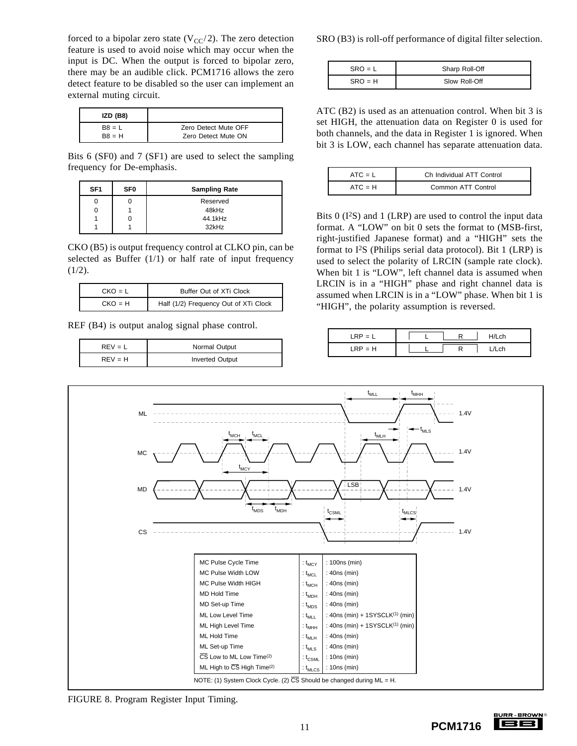forced to a bipolar zero state  $(V_{CC}/2)$ . The zero detection feature is used to avoid noise which may occur when the input is DC. When the output is forced to bipolar zero, there may be an audible click. PCM1716 allows the zero detect feature to be disabled so the user can implement an external muting circuit.

| IZD (B8) |                      |
|----------|----------------------|
| $B8 = L$ | Zero Detect Mute OFF |
| $B8 = H$ | Zero Detect Mute ON  |

Bits 6 (SF0) and 7 (SF1) are used to select the sampling frequency for De-emphasis.

| SF <sub>1</sub> | SF <sub>0</sub> | <b>Sampling Rate</b> |  |  |  |  |  |
|-----------------|-----------------|----------------------|--|--|--|--|--|
|                 |                 | Reserved             |  |  |  |  |  |
| U               |                 | 48kHz                |  |  |  |  |  |
|                 |                 | 44.1kHz              |  |  |  |  |  |
|                 |                 | 32kHz                |  |  |  |  |  |

CKO (B5) is output frequency control at CLKO pin, can be selected as Buffer (1/1) or half rate of input frequency  $(1/2).$ 

| $CKO = L$ | Buffer Out of XTi Clock               |
|-----------|---------------------------------------|
| $CKO = H$ | Half (1/2) Frequency Out of XTi Clock |

REF (B4) is output analog signal phase control.

| $RFV = I$ | Normal Output          |
|-----------|------------------------|
| $REV = H$ | <b>Inverted Output</b> |

SRO (B3) is roll-off performance of digital filter selection.

| $SRO = L$ | Sharp Roll-Off |
|-----------|----------------|
| $SRO = H$ | Slow Roll-Off  |

ATC (B2) is used as an attenuation control. When bit 3 is set HIGH, the attenuation data on Register 0 is used for both channels, and the data in Register 1 is ignored. When bit 3 is LOW, each channel has separate attenuation data.

| $ATC = L$ | Ch Individual ATT Control |
|-----------|---------------------------|
| $ATC = H$ | Common ATT Control        |

Bits  $0$  (I<sup>2</sup>S) and 1 (LRP) are used to control the input data format. A "LOW" on bit 0 sets the format to (MSB-first, right-justified Japanese format) and a "HIGH" sets the format to  $I^2S$  (Philips serial data protocol). Bit 1 (LRP) is used to select the polarity of LRCIN (sample rate clock). When bit 1 is "LOW", left channel data is assumed when LRCIN is in a "HIGH" phase and right channel data is assumed when LRCIN is in a "LOW" phase. When bit 1 is "HIGH", the polarity assumption is reversed.

| $\overline{\phantom{0}}$<br>—<br>—— | <b>nh</b> |
|-------------------------------------|-----------|
| = H<br>. .<br><u>.</u>              | $\cdot$ . |



FIGURE 8. Program Register Input Timing.

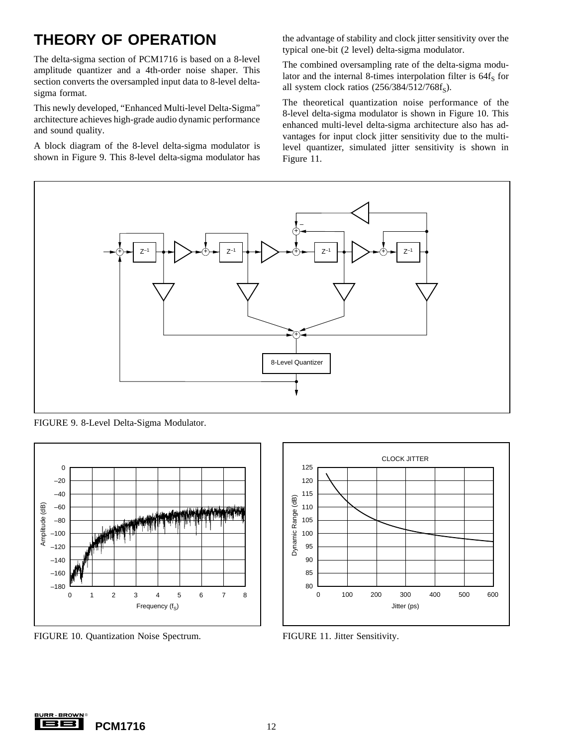### **THEORY OF OPERATION**

The delta-sigma section of PCM1716 is based on a 8-level amplitude quantizer and a 4th-order noise shaper. This section converts the oversampled input data to 8-level deltasigma format.

This newly developed, "Enhanced Multi-level Delta-Sigma" architecture achieves high-grade audio dynamic performance and sound quality.

A block diagram of the 8-level delta-sigma modulator is shown in Figure 9. This 8-level delta-sigma modulator has the advantage of stability and clock jitter sensitivity over the typical one-bit (2 level) delta-sigma modulator.

The combined oversampling rate of the delta-sigma modulator and the internal 8-times interpolation filter is  $64f<sub>S</sub>$  for all system clock ratios  $(256/384/512/768f_S)$ .

The theoretical quantization noise performance of the 8-level delta-sigma modulator is shown in Figure 10. This enhanced multi-level delta-sigma architecture also has advantages for input clock jitter sensitivity due to the multilevel quantizer, simulated jitter sensitivity is shown in Figure 11.



FIGURE 9. 8-Level Delta-Sigma Modulator.



FIGURE 10. Quantization Noise Spectrum. FIGURE 11. Jitter Sensitivity.



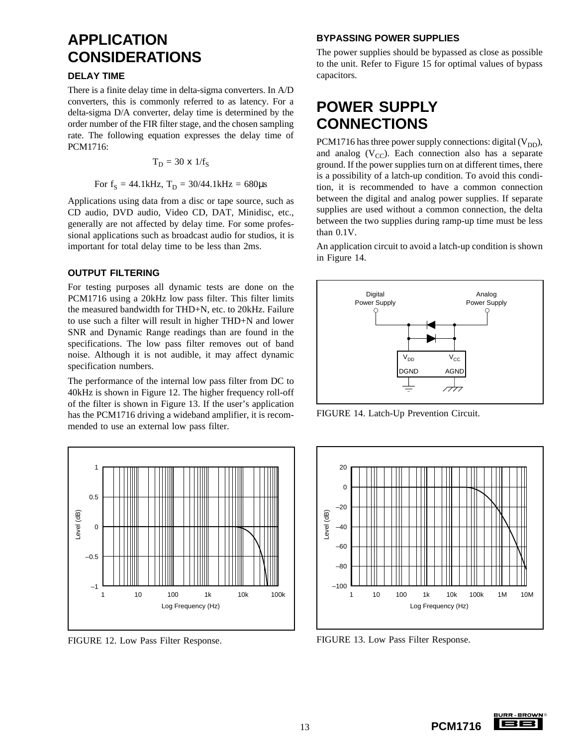### **APPLICATION CONSIDERATIONS**

#### **DELAY TIME**

There is a finite delay time in delta-sigma converters. In A/D converters, this is commonly referred to as latency. For a delta-sigma D/A converter, delay time is determined by the order number of the FIR filter stage, and the chosen sampling rate. The following equation expresses the delay time of PCM1716:

$$
T_D = 30 \times 1/f_S
$$

For  $f_S = 44.1$ kHz,  $T_D = 30/44.1$ kHz = 680 $\mu$ s

Applications using data from a disc or tape source, such as CD audio, DVD audio, Video CD, DAT, Minidisc, etc., generally are not affected by delay time. For some professional applications such as broadcast audio for studios, it is important for total delay time to be less than 2ms.

#### **OUTPUT FILTERING**

For testing purposes all dynamic tests are done on the PCM1716 using a 20kHz low pass filter. This filter limits the measured bandwidth for THD+N, etc. to 20kHz. Failure to use such a filter will result in higher THD+N and lower SNR and Dynamic Range readings than are found in the specifications. The low pass filter removes out of band noise. Although it is not audible, it may affect dynamic specification numbers.

The performance of the internal low pass filter from DC to 40kHz is shown in Figure 12. The higher frequency roll-off of the filter is shown in Figure 13. If the user's application has the PCM1716 driving a wideband amplifier, it is recommended to use an external low pass filter.



FIGURE 12. Low Pass Filter Response.

#### **BYPASSING POWER SUPPLIES**

The power supplies should be bypassed as close as possible to the unit. Refer to Figure 15 for optimal values of bypass capacitors.

### **POWER SUPPLY CONNECTIONS**

PCM1716 has three power supply connections: digital  $(V_{DD})$ , and analog  $(V_{CC})$ . Each connection also has a separate ground. If the power supplies turn on at different times, there is a possibility of a latch-up condition. To avoid this condition, it is recommended to have a common connection between the digital and analog power supplies. If separate supplies are used without a common connection, the delta between the two supplies during ramp-up time must be less than 0.1V.

An application circuit to avoid a latch-up condition is shown in Figure 14.



FIGURE 14. Latch-Up Prevention Circuit.



FIGURE 13. Low Pass Filter Response.